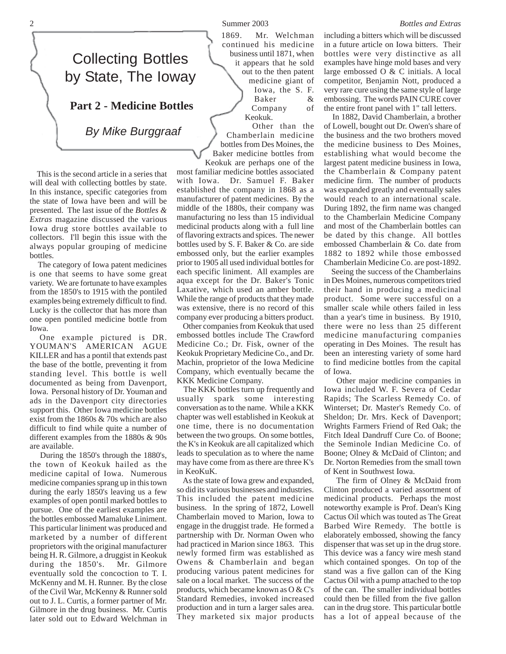## Collecting Bottles by State, The Ioway

**Part 2 - Medicine Bottles**

*By Mike Burggraaf*

 This is the second article in a series that will deal with collecting bottles by state. In this instance, specific categories from the state of Iowa have been and will be presented. The last issue of the *Bottles & Extras* magazine discussed the various Iowa drug store bottles available to collectors. I'll begin this issue with the always popular grouping of medicine bottles.

 The category of Iowa patent medicines is one that seems to have some great variety. We are fortunate to have examples from the 1850's to 1915 with the pontiled examples being extremely difficult to find. Lucky is the collector that has more than one open pontiled medicine bottle from Iowa.

One example pictured is DR. YOUMAN'S AMERICAN AGUE KILLER and has a pontil that extends past the base of the bottle, preventing it from standing level. This bottle is well documented as being from Davenport, Iowa. Personal history of Dr. Youman and ads in the Davenport city directories support this. Other Iowa medicine bottles exist from the 1860s & 70s which are also difficult to find while quite a number of different examples from the 1880s & 90s are available.

 During the 1850's through the 1880's, the town of Keokuk hailed as the medicine capital of Iowa. Numerous medicine companies sprang up in this town during the early 1850's leaving us a few examples of open pontil marked bottles to pursue. One of the earliest examples are the bottles embossed Mamaluke Liniment. This particular liniment was produced and marketed by a number of different proprietors with the original manufacturer being H. R. Gilmore, a druggist in Keokuk during the 1850's. Mr. Gilmore eventually sold the concoction to T. I. McKenny and M. H. Runner. By the close of the Civil War, McKenny & Runner sold out to J. L. Curtis, a former partner of Mr. Gilmore in the drug business. Mr. Curtis later sold out to Edward Welchman in 1869. Mr. Welchman continued his medicine business until 1871, when it appears that he sold out to the then patent medicine giant of Iowa, the S. F. Baker & Company of Keokuk.

 Other than the Chamberlain medicine bottles from Des Moines, the Baker medicine bottles from Keokuk are perhaps one of the

most familiar medicine bottles associated with Iowa. Dr. Samuel F. Baker established the company in 1868 as a manufacturer of patent medicines. By the middle of the 1880s, their company was manufacturing no less than 15 individual medicinal products along with a full line of flavoring extracts and spices. The newer bottles used by S. F. Baker & Co. are side embossed only, but the earlier examples prior to 1905 all used individual bottles for each specific liniment. All examples are aqua except for the Dr. Baker's Tonic Laxative, which used an amber bottle. While the range of products that they made was extensive, there is no record of this company ever producing a bitters product.

 Other companies from Keokuk that used embossed bottles include The Crawford Medicine Co.; Dr. Fisk, owner of the Keokuk Proprietary Medicine Co., and Dr. Machin, proprietor of the Iowa Medicine Company, which eventually became the KKK Medicine Company.

 The KKK bottles turn up frequently and usually spark some interesting conversation as to the name. While a KKK chapter was well established in Keokuk at one time, there is no documentation between the two groups. On some bottles, the K's in Keokuk are all capitalized which leads to speculation as to where the name may have come from as there are three K's in KeoKuK.

 As the state of Iowa grew and expanded, so did its various businesses and industries. This included the patent medicine business. In the spring of 1872, Lowell Chamberlain moved to Marion, Iowa to engage in the druggist trade. He formed a partnership with Dr. Norman Owen who had practiced in Marion since 1863. This newly formed firm was established as Owens & Chamberlain and began producing various patent medicines for sale on a local market. The success of the products, which became known as O & C's Standard Remedies, invoked increased production and in turn a larger sales area. They marketed six major products including a bitters which will be discussed in a future article on Iowa bitters. Their bottles were very distinctive as all examples have hinge mold bases and very large embossed O & C initials. A local competitor, Benjamin Nott, produced a very rare cure using the same style of large embossing. The words PAIN CURE cover the entire front panel with 1" tall letters.

 In 1882, David Chamberlain, a brother of Lowell, bought out Dr. Owen's share of the business and the two brothers moved the medicine business to Des Moines, establishing what would become the largest patent medicine business in Iowa, the Chamberlain & Company patent medicine firm. The number of products was expanded greatly and eventually sales would reach to an international scale. During 1892, the firm name was changed to the Chamberlain Medicine Company and most of the Chamberlain bottles can be dated by this change. All bottles embossed Chamberlain & Co. date from 1882 to 1892 while those embossed Chamberlain Medicine Co. are post-1892.

 Seeing the success of the Chamberlains in Des Moines, numerous competitors tried their hand in producing a medicinal product. Some were successful on a smaller scale while others failed in less than a year's time in business. By 1910, there were no less than 25 different medicine manufacturing companies operating in Des Moines. The result has been an interesting variety of some hard to find medicine bottles from the capital of Iowa.

 Other major medicine companies in Iowa included W. F. Severa of Cedar Rapids; The Scarless Remedy Co. of Winterset; Dr. Master's Remedy Co. of Sheldon; Dr. Mrs. Keck of Davenport; Wrights Farmers Friend of Red Oak; the Fitch Ideal Dandruff Cure Co. of Boone; the Seminole Indian Medicine Co. of Boone; Olney & McDaid of Clinton; and Dr. Norton Remedies from the small town of Kent in Southwest Iowa.

 The firm of Olney & McDaid from Clinton produced a varied assortment of medicinal products. Perhaps the most noteworthy example is Prof. Dean's King Cactus Oil which was touted as The Great Barbed Wire Remedy. The bottle is elaborately embossed, showing the fancy dispenser that was set up in the drug store. This device was a fancy wire mesh stand which contained sponges. On top of the stand was a five gallon can of the King Cactus Oil with a pump attached to the top of the can. The smaller individual bottles could then be filled from the five gallon can in the drug store. This particular bottle has a lot of appeal because of the